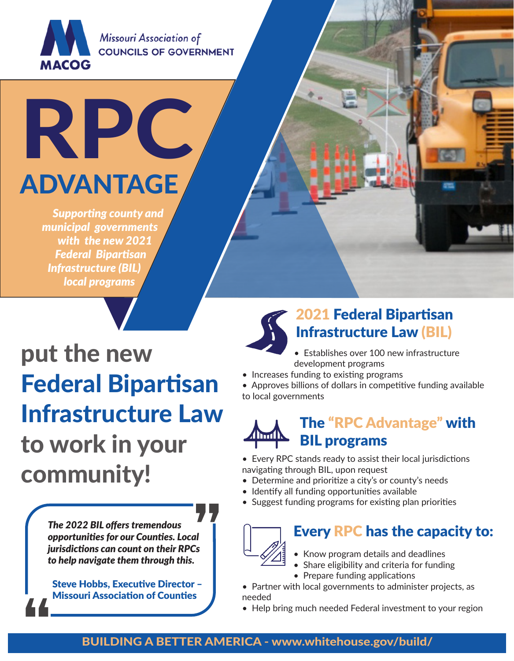

Missouri Association of **COUNCILS OF GOVERNMENT** 

ADVANTAGE

RP

*Supporting county and municipal governments with the new 2021 Federal Bipartisan Infrastructure (BIL) local programs*

put the new Federal Bipartisan Infrastructure Law to work in your community!

> *The 2022 BIL offers tremendous opportunities for our Counties. Local jurisdictions can count on their RPCs to help navigate them through this.*

 Steve Hobbs, Executive Director – Missouri Association of Counties

### 2021 Federal Bipartisan Infrastructure Law (BIL)

- Establishes over 100 new infrastructure development programs
- Increases funding to existing programs
- Approves billions of dollars in competitive funding available to local governments



- Every RPC stands ready to assist their local jurisdictions navigating through BIL, upon request
- Determine and prioritize a city's or county's needs
- Identify all funding opportunities available
- Suggest funding programs for existing plan priorities



### Every RPC has the capacity to:

- Know program details and deadlines
- Share eligibility and criteria for funding
- Prepare funding applications
- Partner with local governments to administer projects, as needed
- Help bring much needed Federal investment to your region

### BUILDING A BETTER AMERICA - www.whitehouse.gov/build/